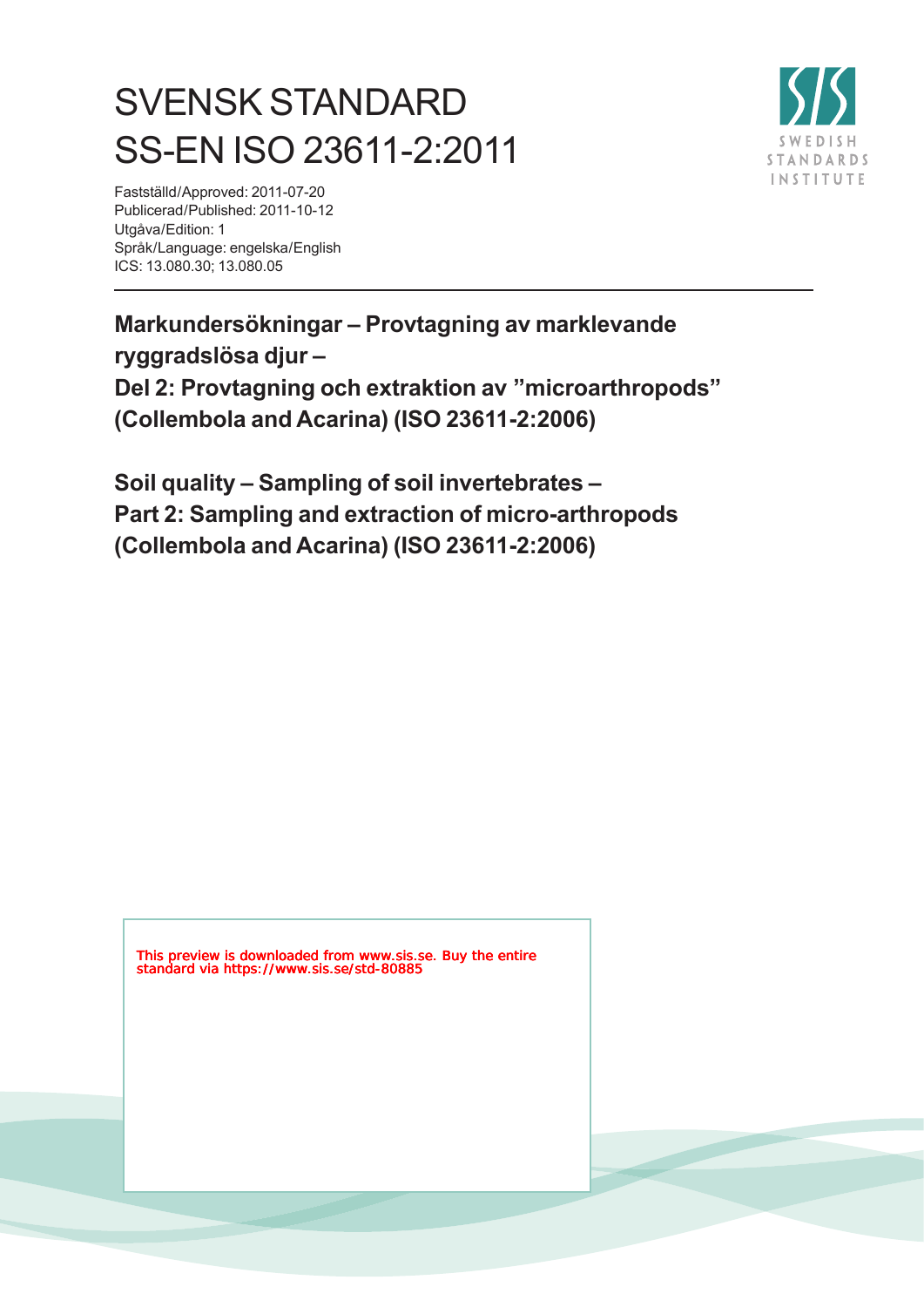# SVENSK STANDARD SS-EN ISO 23611-2:2011



Fastställd/Approved: 2011-07-20 Publicerad/Published: 2011-10-12 Utgåva/Edition: 1 Språk/Language: engelska/English ICS: 13.080.30; 13.080.05

**Markundersökningar – Provtagning av marklevande ryggradslösa djur – Del 2: Provtagning och extraktion av "microarthropods" (Collembola and Acarina) (ISO 23611‑2:2006)**

**Soil quality – Sampling of soil invertebrates – Part 2: Sampling and extraction of micro-arthropods (Collembola and Acarina) (ISO 23611‑2:2006)**

This preview is downloaded from www.sis.se. Buy the entire standard via https://www.sis.se/std-80885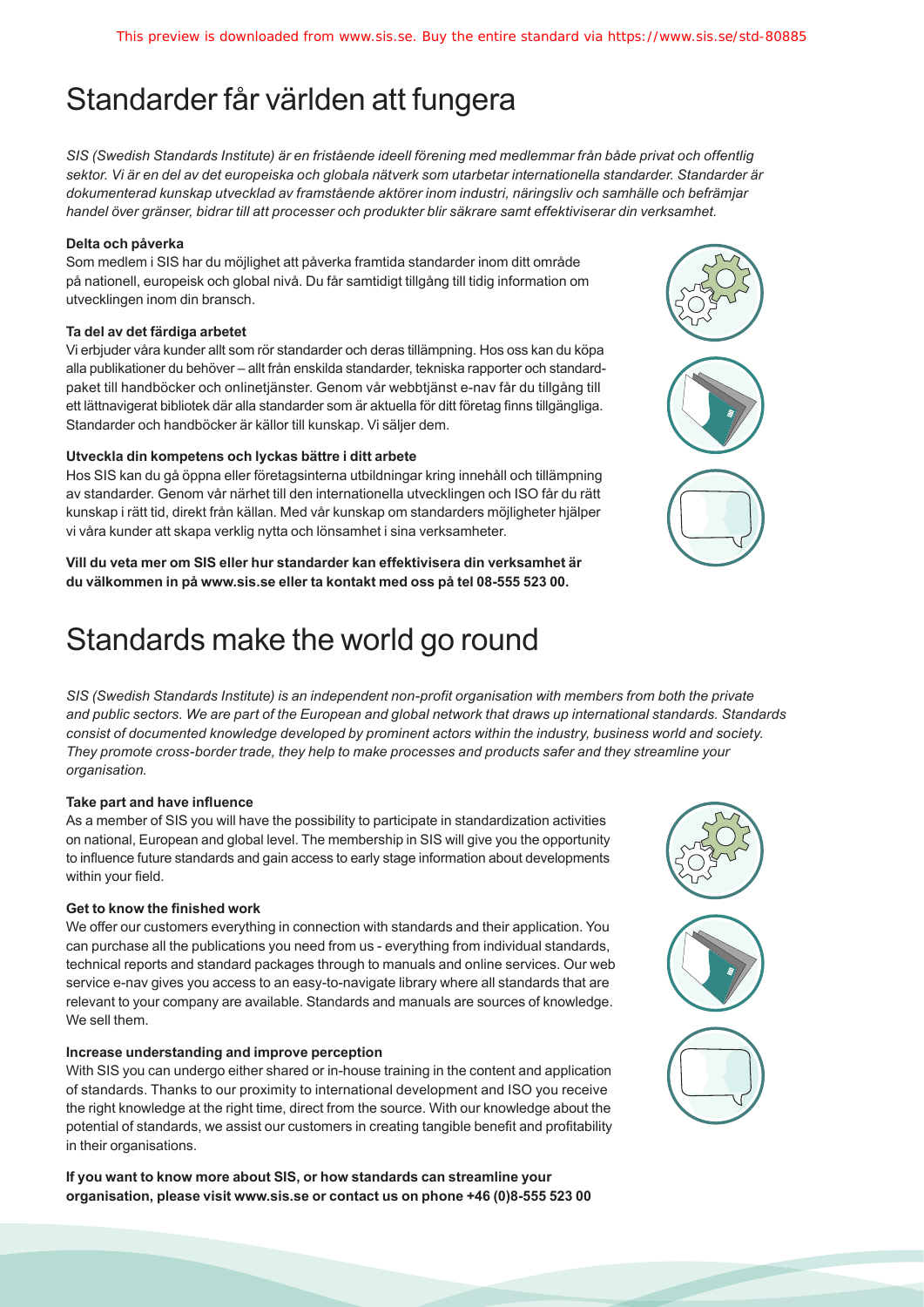# Standarder får världen att fungera

*SIS (Swedish Standards Institute) är en fristående ideell förening med medlemmar från både privat och offentlig sektor. Vi är en del av det europeiska och globala nätverk som utarbetar internationella standarder. Standarder är dokumenterad kunskap utvecklad av framstående aktörer inom industri, näringsliv och samhälle och befrämjar handel över gränser, bidrar till att processer och produkter blir säkrare samt effektiviserar din verksamhet.* 

#### **Delta och påverka**

Som medlem i SIS har du möjlighet att påverka framtida standarder inom ditt område på nationell, europeisk och global nivå. Du får samtidigt tillgång till tidig information om utvecklingen inom din bransch.

#### **Ta del av det färdiga arbetet**

Vi erbjuder våra kunder allt som rör standarder och deras tillämpning. Hos oss kan du köpa alla publikationer du behöver – allt från enskilda standarder, tekniska rapporter och standardpaket till handböcker och onlinetjänster. Genom vår webbtjänst e-nav får du tillgång till ett lättnavigerat bibliotek där alla standarder som är aktuella för ditt företag finns tillgängliga. Standarder och handböcker är källor till kunskap. Vi säljer dem.

#### **Utveckla din kompetens och lyckas bättre i ditt arbete**

Hos SIS kan du gå öppna eller företagsinterna utbildningar kring innehåll och tillämpning av standarder. Genom vår närhet till den internationella utvecklingen och ISO får du rätt kunskap i rätt tid, direkt från källan. Med vår kunskap om standarders möjligheter hjälper vi våra kunder att skapa verklig nytta och lönsamhet i sina verksamheter.

**Vill du veta mer om SIS eller hur standarder kan effektivisera din verksamhet är du välkommen in på www.sis.se eller ta kontakt med oss på tel 08-555 523 00.**

# Standards make the world go round

*SIS (Swedish Standards Institute) is an independent non-profit organisation with members from both the private and public sectors. We are part of the European and global network that draws up international standards. Standards consist of documented knowledge developed by prominent actors within the industry, business world and society. They promote cross-border trade, they help to make processes and products safer and they streamline your organisation.*

#### **Take part and have influence**

As a member of SIS you will have the possibility to participate in standardization activities on national, European and global level. The membership in SIS will give you the opportunity to influence future standards and gain access to early stage information about developments within your field.

#### **Get to know the finished work**

We offer our customers everything in connection with standards and their application. You can purchase all the publications you need from us - everything from individual standards, technical reports and standard packages through to manuals and online services. Our web service e-nav gives you access to an easy-to-navigate library where all standards that are relevant to your company are available. Standards and manuals are sources of knowledge. We sell them.

#### **Increase understanding and improve perception**

With SIS you can undergo either shared or in-house training in the content and application of standards. Thanks to our proximity to international development and ISO you receive the right knowledge at the right time, direct from the source. With our knowledge about the potential of standards, we assist our customers in creating tangible benefit and profitability in their organisations.

**If you want to know more about SIS, or how standards can streamline your organisation, please visit www.sis.se or contact us on phone +46 (0)8-555 523 00**



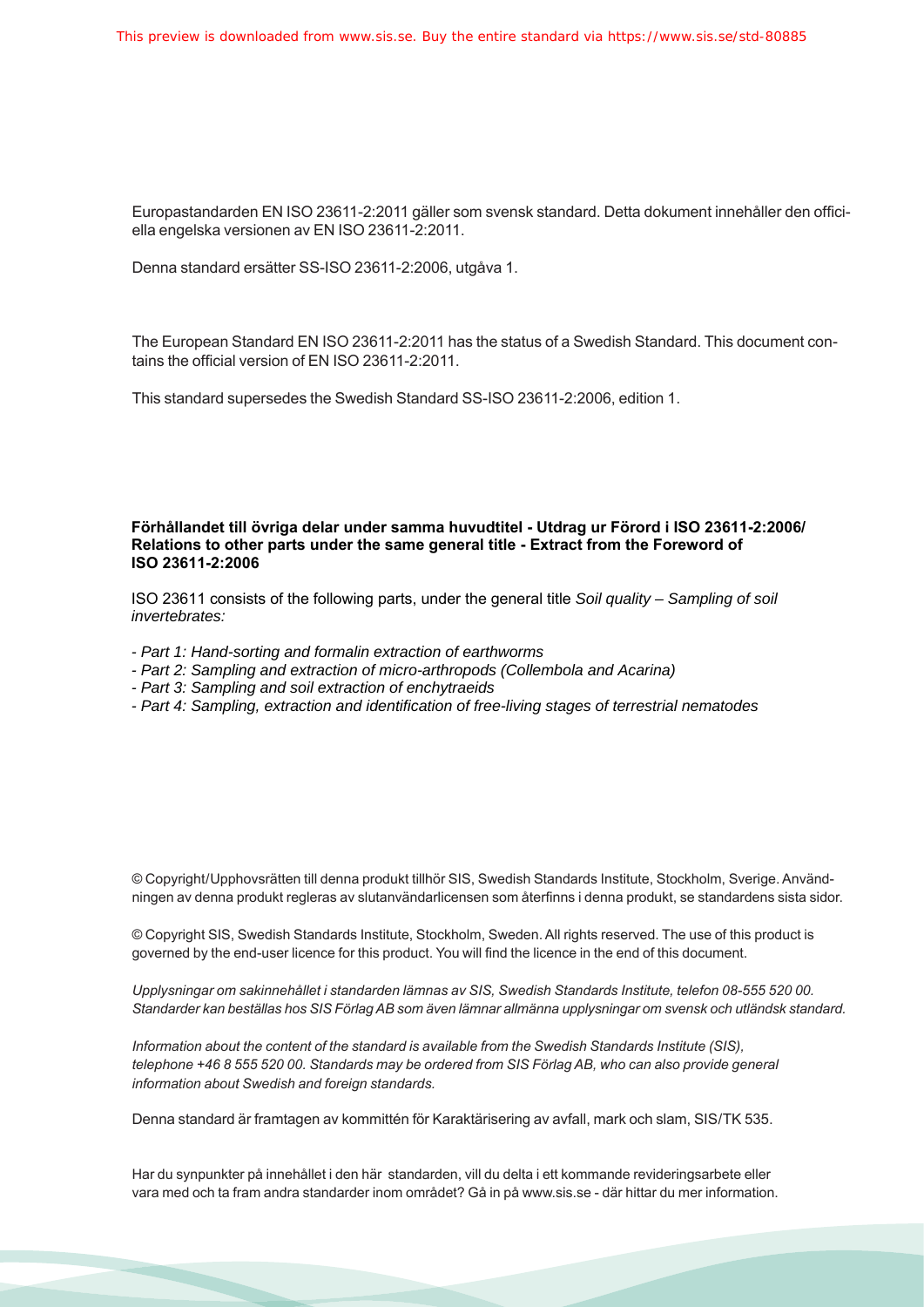Europastandarden EN ISO 23611-2:2011 gäller som svensk standard. Detta dokument innehåller den officiella engelska versionen av EN ISO 23611-2:2011.

Denna standard ersätter SS-ISO 23611-2:2006, utgåva 1.

The European Standard EN ISO 23611-2:2011 has the status of a Swedish Standard. This document contains the official version of EN ISO 23611-2:2011.

This standard supersedes the Swedish Standard SS-ISO 23611-2:2006, edition 1.

#### **Förhållandet till övriga delar under samma huvudtitel - Utdrag ur Förord i ISO 23611-2:2006/ Relations to other parts under the same general title - Extract from the Foreword of ISO 23611-2:2006**

ISO 23611 consists of the following parts, under the general title *Soil quality – Sampling of soil invertebrates:* 

- *Part 1: Hand-sorting and formalin extraction of earthworms*
- *Part 2: Sampling and extraction of micro-arthropods (Collembola and Acarina)*
- *Part 3: Sampling and soil extraction of enchytraeids*
- *Part 4: Sampling, extraction and identification of free-living stages of terrestrial nematodes*

© Copyright/Upphovsrätten till denna produkt tillhör SIS, Swedish Standards Institute, Stockholm, Sverige. Användningen av denna produkt regleras av slutanvändarlicensen som återfinns i denna produkt, se standardens sista sidor.

© Copyright SIS, Swedish Standards Institute, Stockholm, Sweden. All rights reserved. The use of this product is governed by the end-user licence for this product. You will find the licence in the end of this document.

*Upplysningar om sakinnehållet i standarden lämnas av SIS, Swedish Standards Institute, telefon 08-555 520 00. Standarder kan beställas hos SIS Förlag AB som även lämnar allmänna upplysningar om svensk och utländsk standard.*

*Information about the content of the standard is available from the Swedish Standards Institute (SIS), telephone +46 8 555 520 00. Standards may be ordered from SIS Förlag AB, who can also provide general information about Swedish and foreign standards.*

Denna standard är framtagen av kommittén för Karaktärisering av avfall, mark och slam, SIS/TK 535.

Har du synpunkter på innehållet i den här standarden, vill du delta i ett kommande revideringsarbete eller vara med och ta fram andra standarder inom området? Gå in på www.sis.se - där hittar du mer information.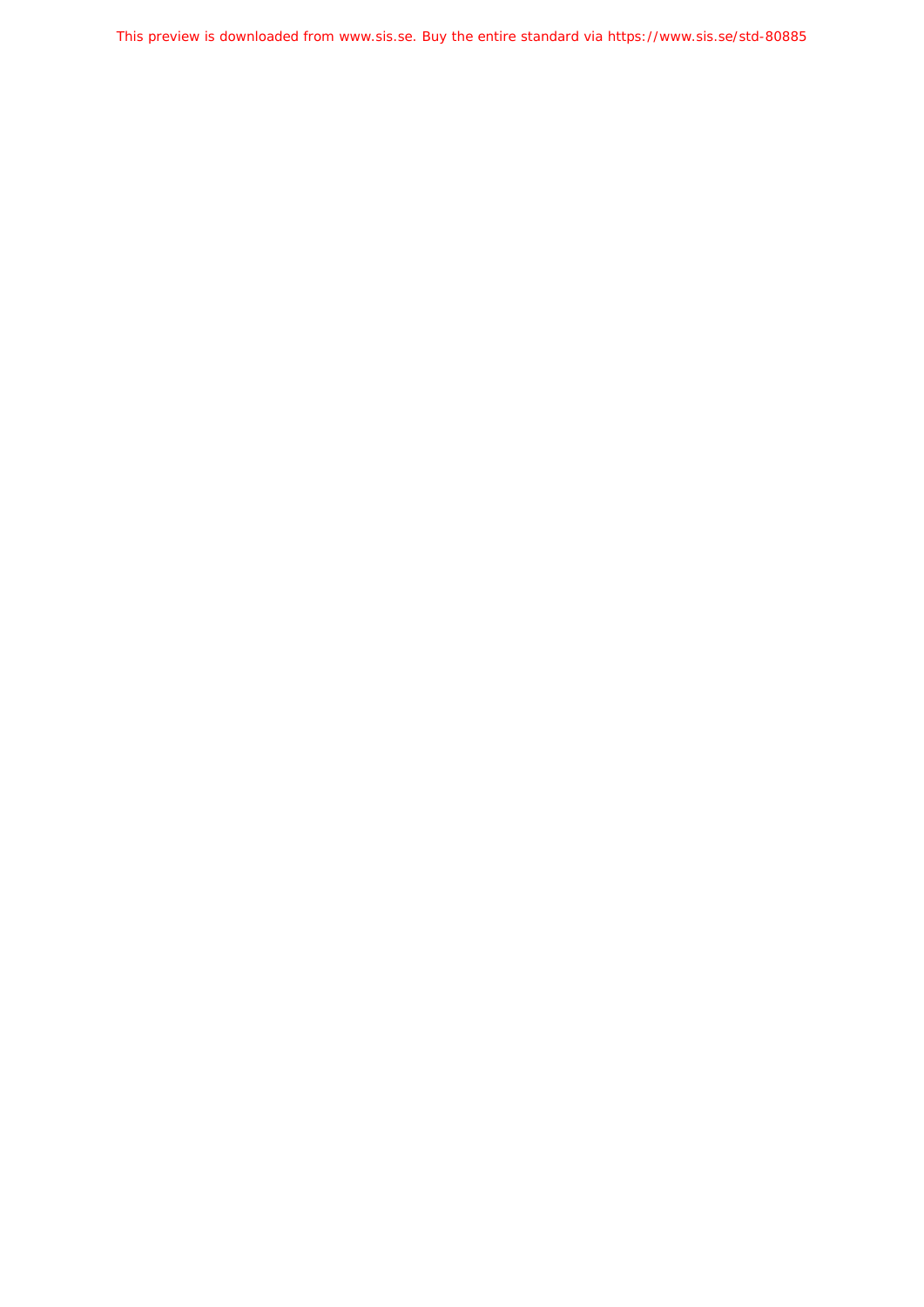This preview is downloaded from www.sis.se. Buy the entire standard via https://www.sis.se/std-80885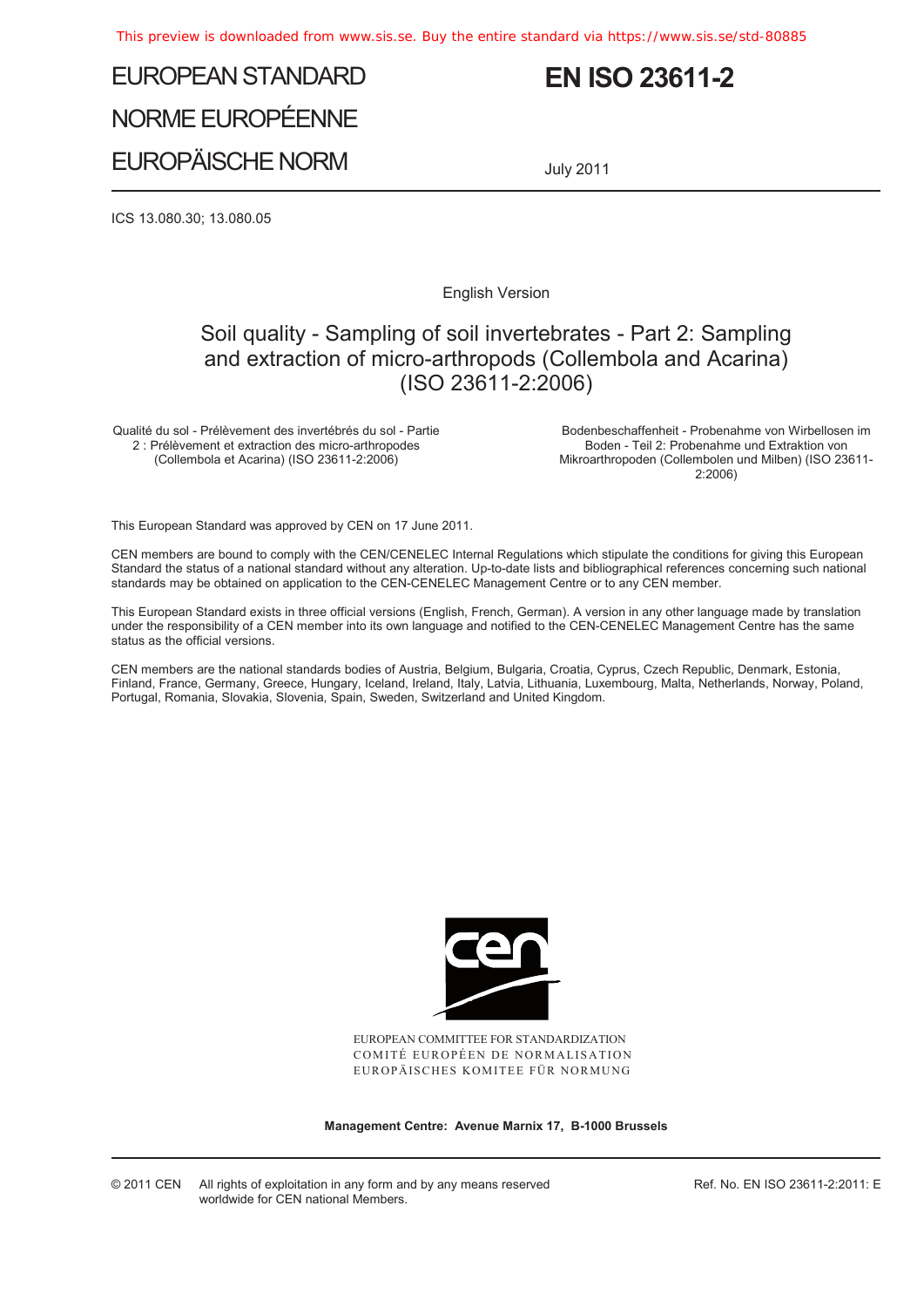# EUROPEAN STANDARD NORME EUROPÉENNE

EUROPÄISCHE NORM

# **EN ISO 23611-2**

July 2011

ICS 13.080.30; 13.080.05

English Version

## Soil quality - Sampling of soil invertebrates - Part 2: Sampling and extraction of micro-arthropods (Collembola and Acarina) (ISO 23611-2:2006)

Qualité du sol - Prélèvement des invertébrés du sol - Partie 2 : Prélèvement et extraction des micro-arthropodes (Collembola et Acarina) (ISO 23611-2:2006)

 Bodenbeschaffenheit - Probenahme von Wirbellosen im Boden - Teil 2: Probenahme und Extraktion von Mikroarthropoden (Collembolen und Milben) (ISO 23611- 2:2006)

This European Standard was approved by CEN on 17 June 2011.

CEN members are bound to comply with the CEN/CENELEC Internal Regulations which stipulate the conditions for giving this European Standard the status of a national standard without any alteration. Up-to-date lists and bibliographical references concerning such national standards may be obtained on application to the CEN-CENELEC Management Centre or to any CEN member.

This European Standard exists in three official versions (English, French, German). A version in any other language made by translation under the responsibility of a CEN member into its own language and notified to the CEN-CENELEC Management Centre has the same status as the official versions.

CEN members are the national standards bodies of Austria, Belgium, Bulgaria, Croatia, Cyprus, Czech Republic, Denmark, Estonia, Finland, France, Germany, Greece, Hungary, Iceland, Ireland, Italy, Latvia, Lithuania, Luxembourg, Malta, Netherlands, Norway, Poland, Portugal, Romania, Slovakia, Slovenia, Spain, Sweden, Switzerland and United Kingdom.



EUROPEAN COMMITTEE FOR STANDARDIZATION COMITÉ EUROPÉEN DE NORMALISATION EUROPÄISCHES KOMITEE FÜR NORMUNG

**Management Centre: Avenue Marnix 17, B-1000 Brussels** 

Ref. No. EN ISO 23611-2:2011: E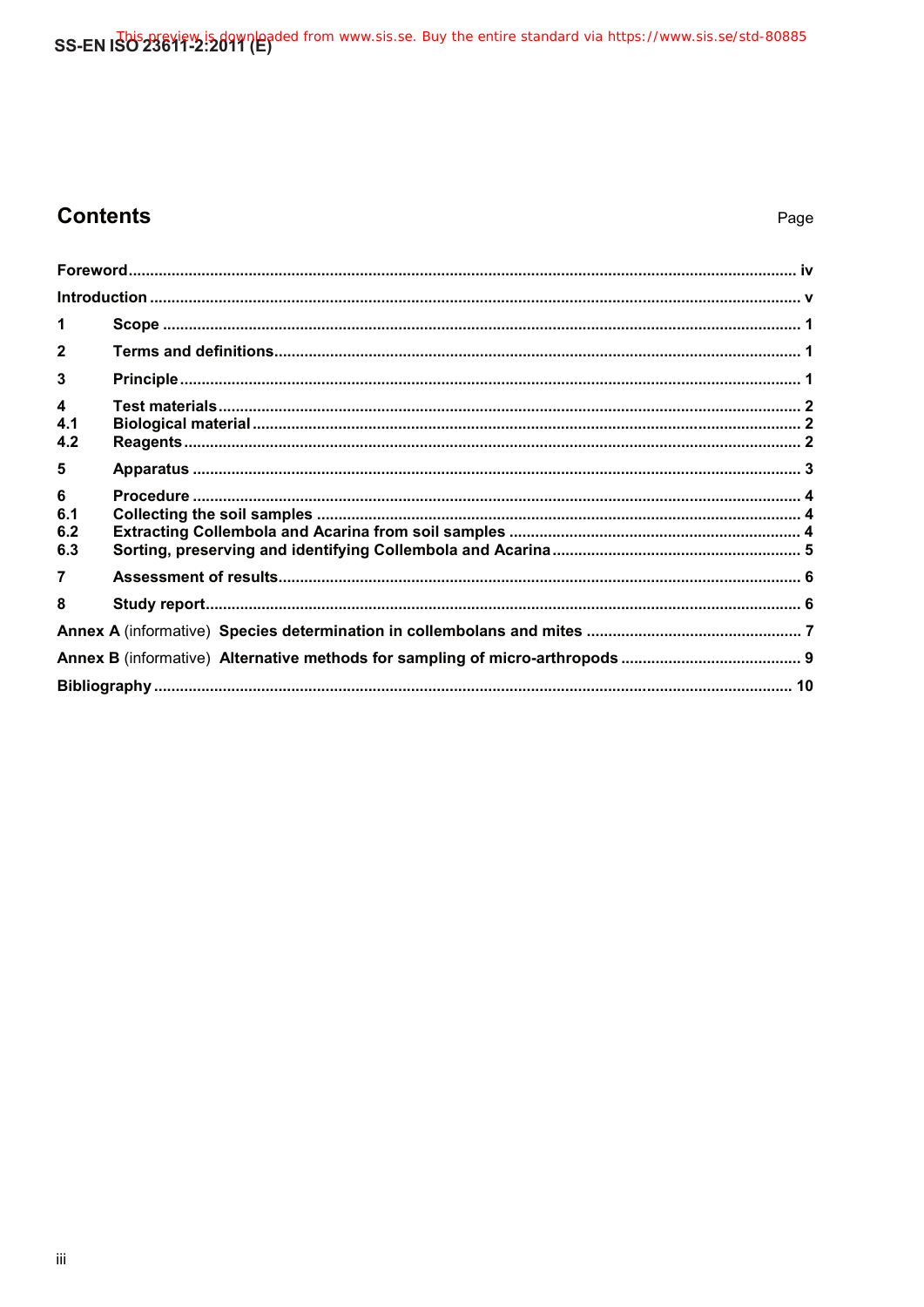SS-EN ISO 23611-2:2011 (E)<br>SS-EN ISO 23611-2:2011 (E)

## **Contents**

| 1                                     |  |  |
|---------------------------------------|--|--|
| $\overline{2}$                        |  |  |
| 3                                     |  |  |
| $\overline{\mathbf{4}}$<br>4.1<br>4.2 |  |  |
| 5                                     |  |  |
| 6<br>6.1<br>6.2<br>6.3                |  |  |
| $\overline{7}$                        |  |  |
| 8                                     |  |  |
|                                       |  |  |
|                                       |  |  |
|                                       |  |  |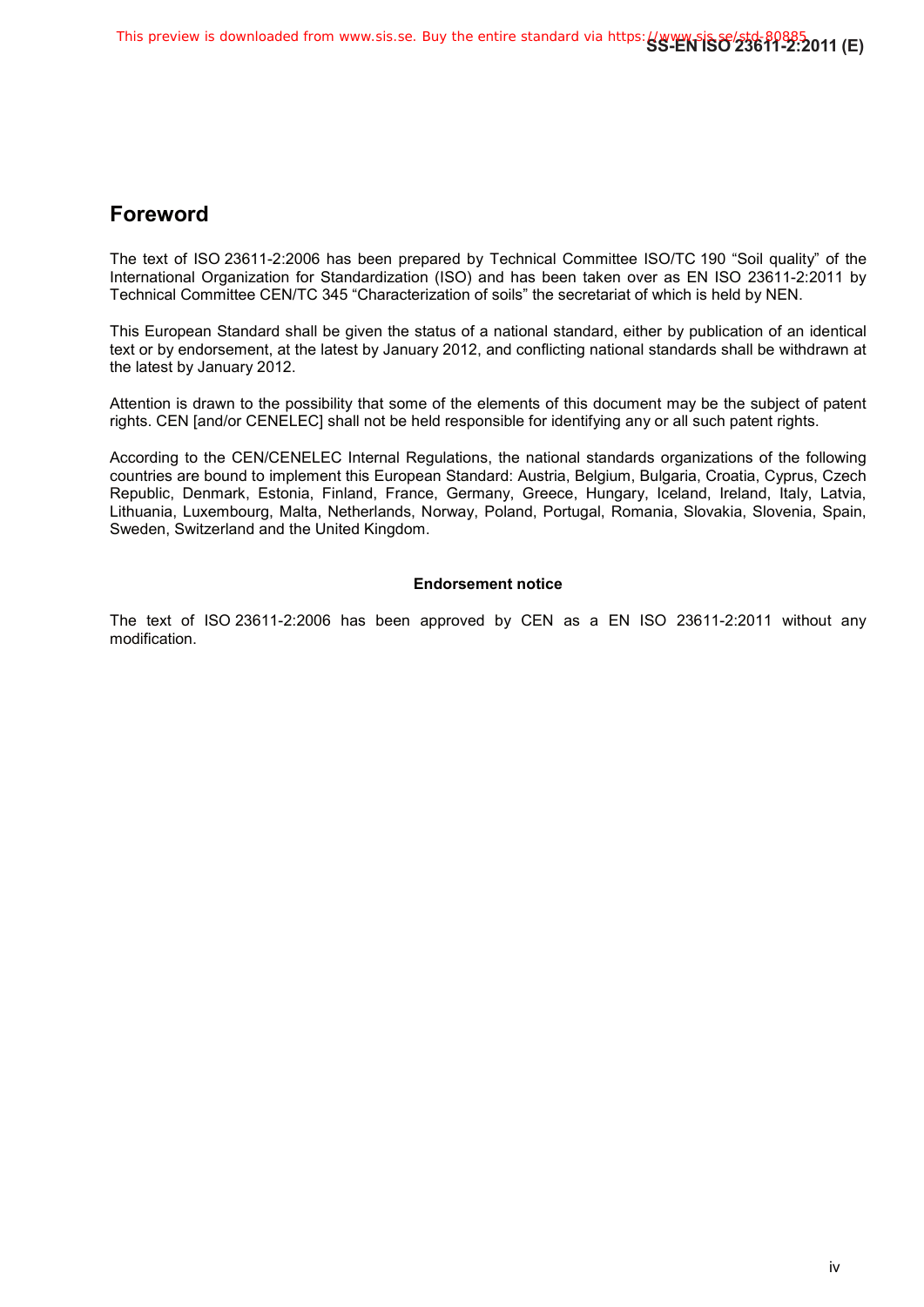## **Foreword**

The text of ISO 23611-2:2006 has been prepared by Technical Committee ISO/TC 190 "Soil quality" of the International Organization for Standardization (ISO) and has been taken over as EN ISO 23611-2:2011 by Technical Committee CEN/TC 345 "Characterization of soils" the secretariat of which is held by NEN.

This European Standard shall be given the status of a national standard, either by publication of an identical text or by endorsement, at the latest by January 2012, and conflicting national standards shall be withdrawn at the latest by January 2012.

Attention is drawn to the possibility that some of the elements of this document may be the subject of patent rights. CEN [and/or CENELEC] shall not be held responsible for identifying any or all such patent rights.

According to the CEN/CENELEC Internal Regulations, the national standards organizations of the following countries are bound to implement this European Standard: Austria, Belgium, Bulgaria, Croatia, Cyprus, Czech Republic, Denmark, Estonia, Finland, France, Germany, Greece, Hungary, Iceland, Ireland, Italy, Latvia, Lithuania, Luxembourg, Malta, Netherlands, Norway, Poland, Portugal, Romania, Slovakia, Slovenia, Spain, Sweden, Switzerland and the United Kingdom.

## **Endorsement notice**

The text of ISO 23611-2:2006 has been approved by CEN as a EN ISO 23611-2:2011 without any modification.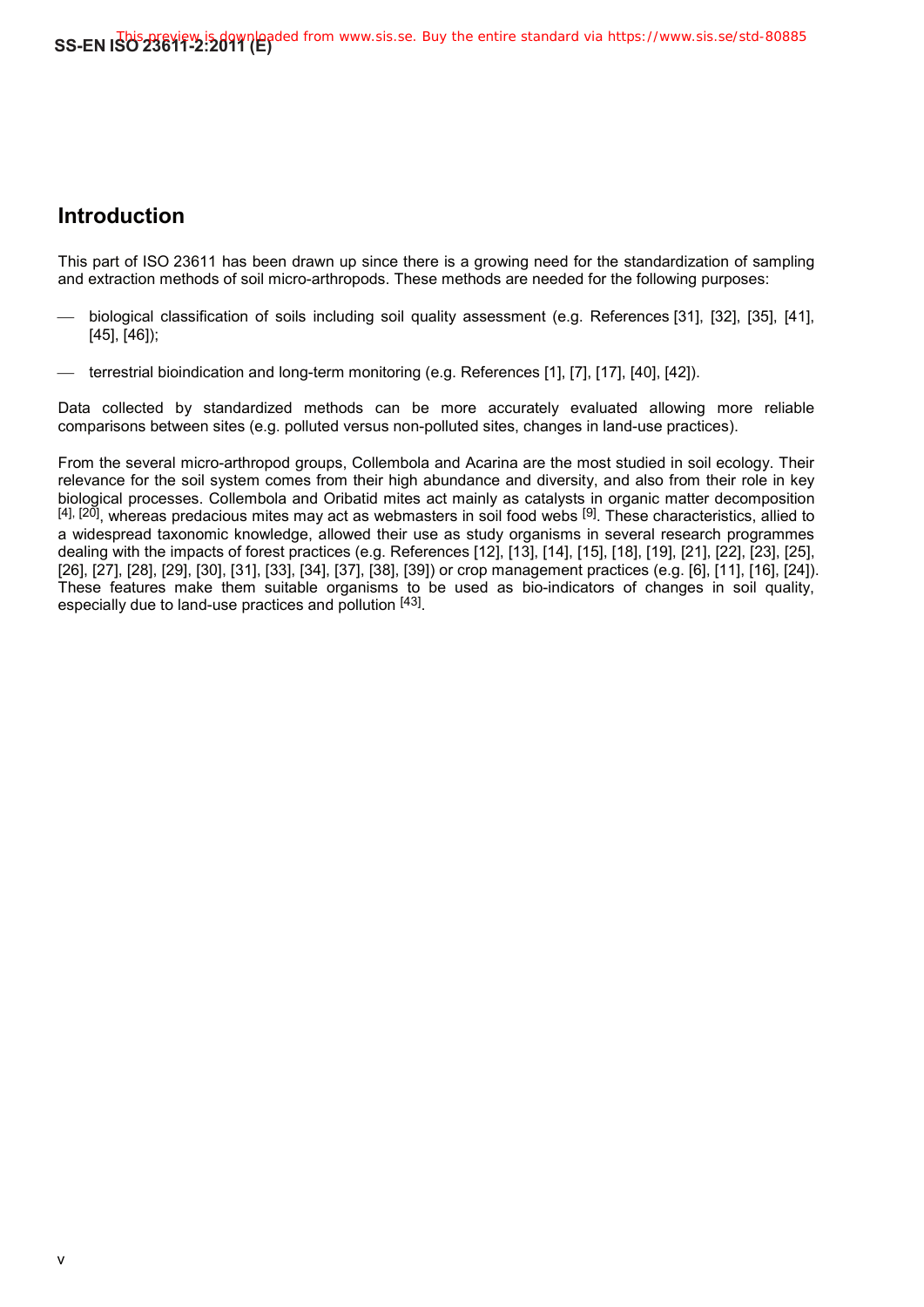## **Introduction**

This part of ISO 23611 has been drawn up since there is a growing need for the standardization of sampling and extraction methods of soil micro-arthropods. These methods are needed for the following purposes:

- biological classification of soils including soil quality assessment (e.g. References [31], [32], [35], [41], [45], [46]);
- terrestrial bioindication and long-term monitoring (e.g. References [1], [7], [17], [40], [42]).

Data collected by standardized methods can be more accurately evaluated allowing more reliable comparisons between sites (e.g. polluted versus non-polluted sites, changes in land-use practices).

From the several micro-arthropod groups, Collembola and Acarina are the most studied in soil ecology. Their relevance for the soil system comes from their high abundance and diversity, and also from their role in key biological processes. Collembola and Oribatid mites act mainly as catalysts in organic matter decomposition [4], [20], whereas predacious mites may act as webmasters in soil food webs [9]. These characteristics, allied to a widespread taxonomic knowledge, allowed their use as study organisms in several research programmes dealing with the impacts of forest practices (e.g. References [12], [13], [14], [15], [18], [19], [21], [22], [23], [25], [26], [27], [28], [29], [30], [31], [33], [34], [37], [38], [39]) or crop management practices (e.g. [6], [11], [16], [24]). These features make them suitable organisms to be used as bio-indicators of changes in soil quality, especially due to land-use practices and pollution [43].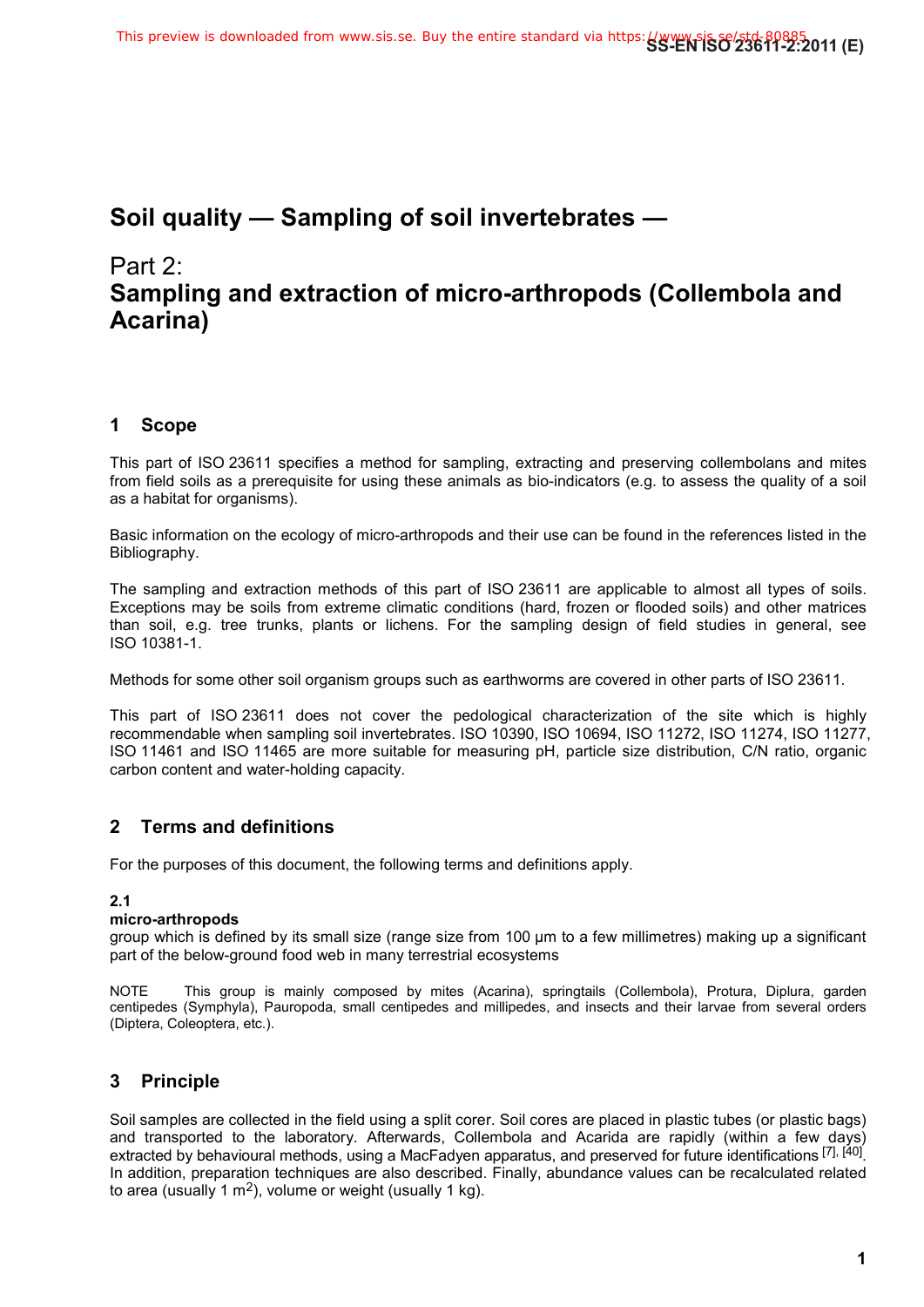## **Soil quality — Sampling of soil invertebrates —**

## Part 2: **Sampling and extraction of micro-arthropods (Collembola and Acarina)**

## **1 Scope**

This part of ISO 23611 specifies a method for sampling, extracting and preserving collembolans and mites from field soils as a prerequisite for using these animals as bio-indicators (e.g. to assess the quality of a soil as a habitat for organisms).

Basic information on the ecology of micro-arthropods and their use can be found in the references listed in the Bibliography.

The sampling and extraction methods of this part of ISO 23611 are applicable to almost all types of soils. Exceptions may be soils from extreme climatic conditions (hard, frozen or flooded soils) and other matrices than soil, e.g. tree trunks, plants or lichens. For the sampling design of field studies in general, see ISO 10381-1.

Methods for some other soil organism groups such as earthworms are covered in other parts of ISO 23611.

This part of ISO 23611 does not cover the pedological characterization of the site which is highly recommendable when sampling soil invertebrates. ISO 10390, ISO 10694, ISO 11272, ISO 11274, ISO 11277, ISO 11461 and ISO 11465 are more suitable for measuring pH, particle size distribution, C/N ratio, organic carbon content and water-holding capacity.

## **2 Terms and definitions**

For the purposes of this document, the following terms and definitions apply.

## **2.1**

## **micro-arthropods**

group which is defined by its small size (range size from 100 µm to a few millimetres) making up a significant part of the below-ground food web in many terrestrial ecosystems

NOTE This group is mainly composed by mites (Acarina), springtails (Collembola), Protura, Diplura, garden centipedes (Symphyla), Pauropoda, small centipedes and millipedes, and insects and their larvae from several orders (Diptera, Coleoptera, etc.).

## **3 Principle**

Soil samples are collected in the field using a split corer. Soil cores are placed in plastic tubes (or plastic bags) and transported to the laboratory. Afterwards, Collembola and Acarida are rapidly (within a few days) extracted by behavioural methods, using a MacFadyen apparatus, and preserved for future identifications [7], [40]. In addition, preparation techniques are also described. Finally, abundance values can be recalculated related to area (usually 1  $m<sup>2</sup>$ ), volume or weight (usually 1 kg).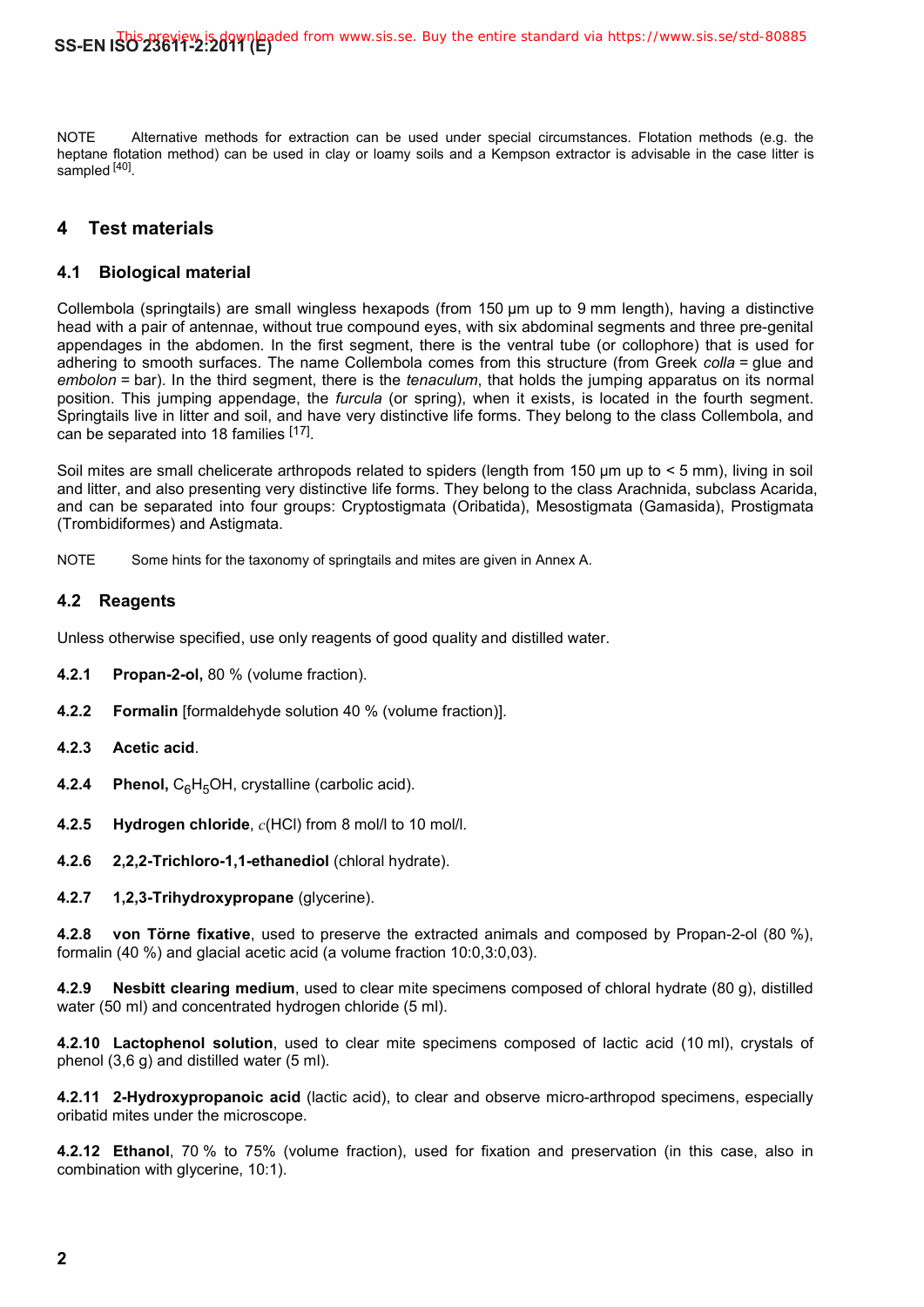NOTE Alternative methods for extraction can be used under special circumstances. Flotation methods (e.g. the heptane flotation method) can be used in clay or loamy soils and a Kempson extractor is advisable in the case litter is sampled [40].

## **4 Test materials**

## **4.1 Biological material**

Collembola (springtails) are small wingless hexapods (from 150 µm up to 9 mm length), having a distinctive head with a pair of antennae, without true compound eyes, with six abdominal segments and three pre-genital appendages in the abdomen. In the first segment, there is the ventral tube (or collophore) that is used for adhering to smooth surfaces. The name Collembola comes from this structure (from Greek *colla* = glue and *embolon* = bar). In the third segment, there is the *tenaculum*, that holds the jumping apparatus on its normal position. This jumping appendage, the *furcula* (or spring), when it exists, is located in the fourth segment. Springtails live in litter and soil, and have very distinctive life forms. They belong to the class Collembola, and can be separated into 18 families [17].

Soil mites are small chelicerate arthropods related to spiders (length from 150 µm up to < 5 mm), living in soil and litter, and also presenting very distinctive life forms. They belong to the class Arachnida, subclass Acarida, and can be separated into four groups: Cryptostigmata (Oribatida), Mesostigmata (Gamasida), Prostigmata (Trombidiformes) and Astigmata.

NOTE Some hints for the taxonomy of springtails and mites are given in Annex A.

## **4.2 Reagents**

Unless otherwise specified, use only reagents of good quality and distilled water.

- **4.2.1 Propan-2-ol,** 80 % (volume fraction).
- **4.2.2 Formalin** [formaldehyde solution 40 % (volume fraction)].
- **4.2.3 Acetic acid**.
- 4.2.4 Phenol, C<sub>6</sub>H<sub>5</sub>OH, crystalline (carbolic acid).
- **4.2.5 Hydrogen chloride**, *c*(HCl) from 8 mol/l to 10 mol/l.
- **4.2.6 2,2,2-Trichloro-1,1-ethanediol** (chloral hydrate).
- **4.2.7 1,2,3-Trihydroxypropane** (glycerine).

**4.2.8 von Törne fixative**, used to preserve the extracted animals and composed by Propan-2-ol (80 %), formalin (40 %) and glacial acetic acid (a volume fraction 10:0,3:0,03).

**4.2.9 Nesbitt clearing medium**, used to clear mite specimens composed of chloral hydrate (80 g), distilled water (50 ml) and concentrated hydrogen chloride (5 ml).

**4.2.10 Lactophenol solution**, used to clear mite specimens composed of lactic acid (10 ml), crystals of phenol (3,6 g) and distilled water (5 ml).

**4.2.11 2-Hydroxypropanoic acid** (lactic acid), to clear and observe micro-arthropod specimens, especially oribatid mites under the microscope.

**4.2.12 Ethanol**, 70 % to 75% (volume fraction), used for fixation and preservation (in this case, also in combination with glycerine, 10:1).